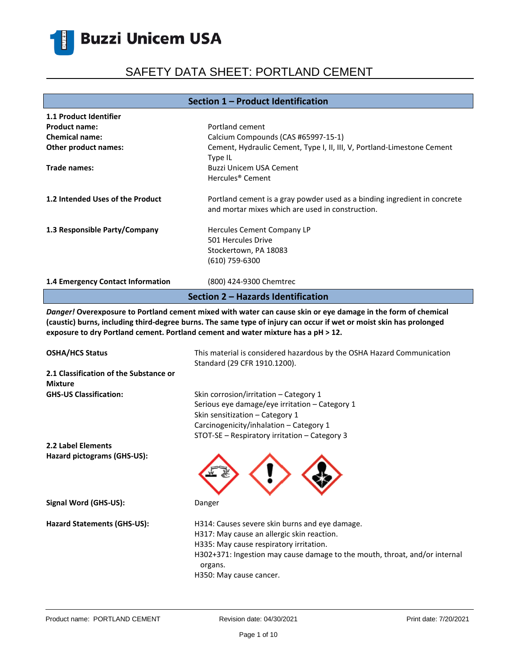# SAFETY DATA SHEET: PORTLAND CEMENT

#### **Section 1 – Product Identification**

| 1.1 Product Identifier             |                                                                                                                               |  |
|------------------------------------|-------------------------------------------------------------------------------------------------------------------------------|--|
| <b>Product name:</b>               | Portland cement                                                                                                               |  |
| <b>Chemical name:</b>              | Calcium Compounds (CAS #65997-15-1)                                                                                           |  |
| Other product names:               | Cement, Hydraulic Cement, Type I, II, III, V, Portland-Limestone Cement<br>Type IL                                            |  |
| Trade names:                       | Buzzi Unicem USA Cement                                                                                                       |  |
|                                    | Hercules <sup>®</sup> Cement                                                                                                  |  |
| 1.2 Intended Uses of the Product   | Portland cement is a gray powder used as a binding ingredient in concrete<br>and mortar mixes which are used in construction. |  |
| 1.3 Responsible Party/Company      | Hercules Cement Company LP                                                                                                    |  |
|                                    | 501 Hercules Drive                                                                                                            |  |
|                                    | Stockertown, PA 18083                                                                                                         |  |
|                                    | (610) 759-6300                                                                                                                |  |
| 1.4 Emergency Contact Information  | (800) 424-9300 Chemtrec                                                                                                       |  |
| Section 2 – Hazards Identification |                                                                                                                               |  |

*Danger!* **Overexposure to Portland cement mixed with water can cause skin or eye damage in the form of chemical (caustic) burns, including third-degree burns. The same type of injury can occur if wet or moist skin has prolonged exposure to dry Portland cement. Portland cement and water mixture has a pH ˃ 12.**

| <b>OSHA/HCS Status</b>                                   | This material is considered hazardous by the OSHA Hazard Communication<br>Standard (29 CFR 1910.1200).                                                                                                                                                      |
|----------------------------------------------------------|-------------------------------------------------------------------------------------------------------------------------------------------------------------------------------------------------------------------------------------------------------------|
| 2.1 Classification of the Substance or<br><b>Mixture</b> |                                                                                                                                                                                                                                                             |
| <b>GHS-US Classification:</b>                            | Skin corrosion/irritation – Category 1<br>Serious eye damage/eye irritation - Category 1<br>Skin sensitization – Category 1<br>Carcinogenicity/inhalation - Category 1<br>STOT-SE - Respiratory irritation - Category 3                                     |
| <b>2.2 Label Elements</b>                                |                                                                                                                                                                                                                                                             |
| Hazard pictograms (GHS-US):                              |                                                                                                                                                                                                                                                             |
| Signal Word (GHS-US):                                    | Danger                                                                                                                                                                                                                                                      |
| Hazard Statements (GHS-US):                              | H314: Causes severe skin burns and eye damage.<br>H317: May cause an allergic skin reaction.<br>H335: May cause respiratory irritation.<br>H302+371: Ingestion may cause damage to the mouth, throat, and/or internal<br>organs.<br>H350: May cause cancer. |
|                                                          |                                                                                                                                                                                                                                                             |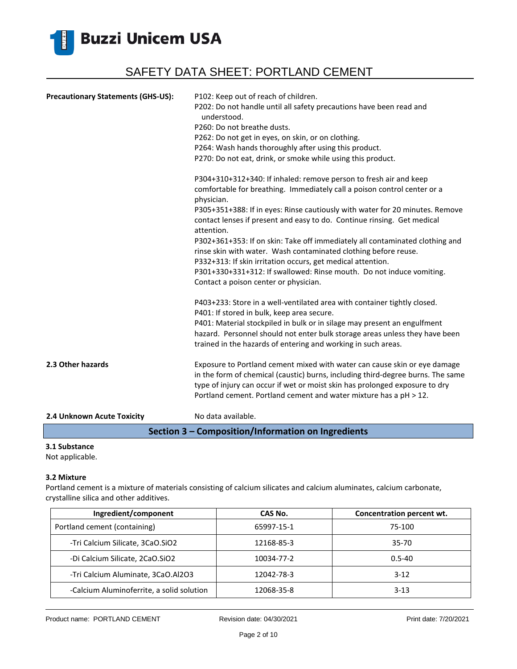

| <b>Precautionary Statements (GHS-US):</b> | P102: Keep out of reach of children.<br>P202: Do not handle until all safety precautions have been read and<br>understood.<br>P260: Do not breathe dusts.<br>P262: Do not get in eyes, on skin, or on clothing.<br>P264: Wash hands thoroughly after using this product.<br>P270: Do not eat, drink, or smoke while using this product.            |
|-------------------------------------------|----------------------------------------------------------------------------------------------------------------------------------------------------------------------------------------------------------------------------------------------------------------------------------------------------------------------------------------------------|
|                                           | P304+310+312+340: If inhaled: remove person to fresh air and keep<br>comfortable for breathing. Immediately call a poison control center or a<br>physician.<br>P305+351+388: If in eyes: Rinse cautiously with water for 20 minutes. Remove<br>contact lenses if present and easy to do. Continue rinsing. Get medical                             |
|                                           | attention.<br>P302+361+353: If on skin: Take off immediately all contaminated clothing and<br>rinse skin with water. Wash contaminated clothing before reuse.<br>P332+313: If skin irritation occurs, get medical attention.<br>P301+330+331+312: If swallowed: Rinse mouth. Do not induce vomiting.<br>Contact a poison center or physician.      |
|                                           | P403+233: Store in a well-ventilated area with container tightly closed.<br>P401: If stored in bulk, keep area secure.<br>P401: Material stockpiled in bulk or in silage may present an engulfment<br>hazard. Personnel should not enter bulk storage areas unless they have been<br>trained in the hazards of entering and working in such areas. |
| 2.3 Other hazards                         | Exposure to Portland cement mixed with water can cause skin or eye damage<br>in the form of chemical (caustic) burns, including third-degree burns. The same<br>type of injury can occur if wet or moist skin has prolonged exposure to dry<br>Portland cement. Portland cement and water mixture has a pH > 12.                                   |
| 2.4 Unknown Acute Toxicity                | No data available.                                                                                                                                                                                                                                                                                                                                 |

### **Section 3 – Composition/Information on Ingredients**

### **3.1 Substance**

Not applicable.

#### **3.2 Mixture**

Portland cement is a mixture of materials consisting of calcium silicates and calcium aluminates, calcium carbonate, crystalline silica and other additives.

| Ingredient/component                      | CAS No.    | Concentration percent wt. |
|-------------------------------------------|------------|---------------------------|
| Portland cement (containing)              | 65997-15-1 | 75-100                    |
| -Tri Calcium Silicate, 3CaO.SiO2          | 12168-85-3 | $35-70$                   |
| -Di Calcium Silicate, 2CaO.SiO2           | 10034-77-2 | $0.5 - 40$                |
| -Tri Calcium Aluminate, 3CaO.Al2O3        | 12042-78-3 | $3-12$                    |
| -Calcium Aluminoferrite, a solid solution | 12068-35-8 | $3-13$                    |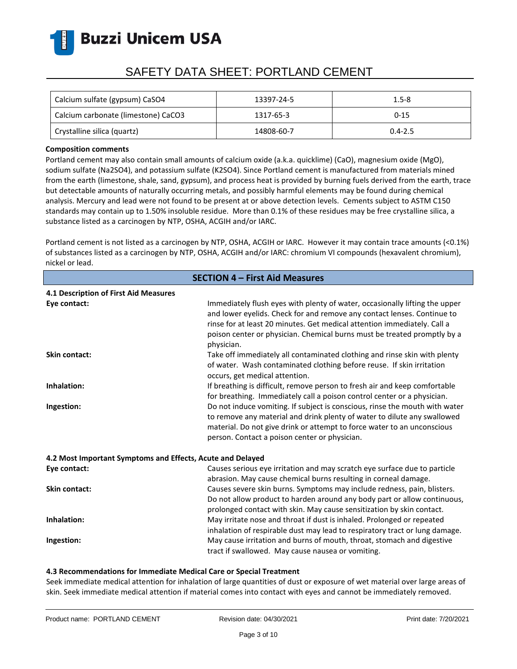

# SAFETY DATA SHEET: PORTLAND CEMENT

| Calcium sulfate (gypsum) CaSO4      | 13397-24-5 | $1.5 - 8$   |
|-------------------------------------|------------|-------------|
| Calcium carbonate (limestone) CaCO3 | 1317-65-3  | $0 - 15$    |
| Crystalline silica (quartz)         | 14808-60-7 | $0.4 - 2.5$ |

#### **Composition comments**

Portland cement may also contain small amounts of calcium oxide (a.k.a. quicklime) (CaO), magnesium oxide (MgO), sodium sulfate (Na2SO4), and potassium sulfate (K2SO4). Since Portland cement is manufactured from materials mined from the earth (limestone, shale, sand, gypsum), and process heat is provided by burning fuels derived from the earth, trace but detectable amounts of naturally occurring metals, and possibly harmful elements may be found during chemical analysis. Mercury and lead were not found to be present at or above detection levels. Cements subject to ASTM C150 standards may contain up to 1.50% insoluble residue. More than 0.1% of these residues may be free crystalline silica, a substance listed as a carcinogen by NTP, OSHA, ACGIH and/or IARC.

Portland cement is not listed as a carcinogen by NTP, OSHA, ACGIH or IARC. However it may contain trace amounts (<0.1%) of substances listed as a carcinogen by NTP, OSHA, ACGIH and/or IARC: chromium VI compounds (hexavalent chromium), nickel or lead.

| <b>SECTION 4 - First Aid Measures</b>                      |                                                                                                                                                                                                                                                                                                                              |  |
|------------------------------------------------------------|------------------------------------------------------------------------------------------------------------------------------------------------------------------------------------------------------------------------------------------------------------------------------------------------------------------------------|--|
| 4.1 Description of First Aid Measures                      |                                                                                                                                                                                                                                                                                                                              |  |
| Eye contact:                                               | Immediately flush eyes with plenty of water, occasionally lifting the upper<br>and lower eyelids. Check for and remove any contact lenses. Continue to<br>rinse for at least 20 minutes. Get medical attention immediately. Call a<br>poison center or physician. Chemical burns must be treated promptly by a<br>physician. |  |
| <b>Skin contact:</b>                                       | Take off immediately all contaminated clothing and rinse skin with plenty<br>of water. Wash contaminated clothing before reuse. If skin irritation<br>occurs, get medical attention.                                                                                                                                         |  |
| Inhalation:                                                | If breathing is difficult, remove person to fresh air and keep comfortable<br>for breathing. Immediately call a poison control center or a physician.                                                                                                                                                                        |  |
| Ingestion:                                                 | Do not induce vomiting. If subject is conscious, rinse the mouth with water<br>to remove any material and drink plenty of water to dilute any swallowed<br>material. Do not give drink or attempt to force water to an unconscious<br>person. Contact a poison center or physician.                                          |  |
| 4.2 Most Important Symptoms and Effects, Acute and Delayed |                                                                                                                                                                                                                                                                                                                              |  |
| Eye contact:                                               | Causes serious eye irritation and may scratch eye surface due to particle<br>abrasion. May cause chemical burns resulting in corneal damage.                                                                                                                                                                                 |  |
| <b>Skin contact:</b>                                       | Causes severe skin burns. Symptoms may include redness, pain, blisters.<br>Do not allow product to harden around any body part or allow continuous,<br>prolonged contact with skin. May cause sensitization by skin contact.                                                                                                 |  |
| Inhalation:                                                | May irritate nose and throat if dust is inhaled. Prolonged or repeated<br>inhalation of respirable dust may lead to respiratory tract or lung damage.                                                                                                                                                                        |  |
| Ingestion:                                                 | May cause irritation and burns of mouth, throat, stomach and digestive<br>tract if swallowed. May cause nausea or vomiting.                                                                                                                                                                                                  |  |

#### **4.3 Recommendations for Immediate Medical Care or Special Treatment**

Seek immediate medical attention for inhalation of large quantities of dust or exposure of wet material over large areas of skin. Seek immediate medical attention if material comes into contact with eyes and cannot be immediately removed.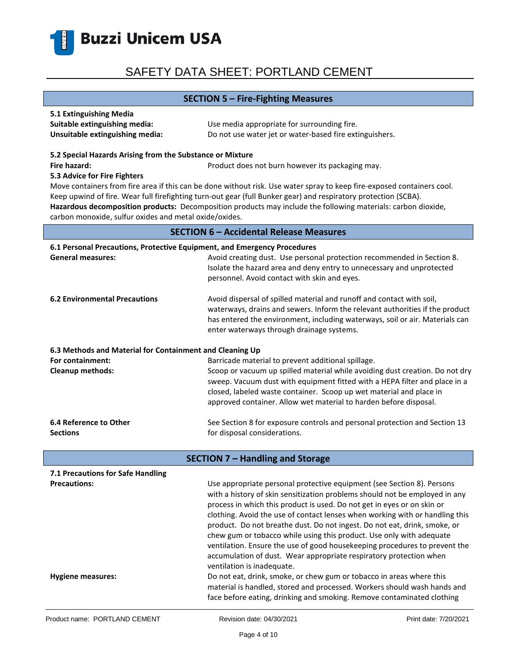

#### **SECTION 5 – Fire-Fighting Measures**

| 5.1 Extinguishing Media         |                                                         |
|---------------------------------|---------------------------------------------------------|
| Suitable extinguishing media:   | Use media appropriate for surrounding fire.             |
| Unsuitable extinguishing media: | Do not use water jet or water-based fire extinguishers. |

#### **5.2 Special Hazards Arising from the Substance or Mixture**

**Fire hazard: Product does not burn however its packaging may.** Product does not burn however its packaging may.

#### **5.3 Advice for Fire Fighters**

Move containers from fire area if this can be done without risk. Use water spray to keep fire-exposed containers cool. Keep upwind of fire. Wear full firefighting turn-out gear (full Bunker gear) and respiratory protection (SCBA). **Hazardous decomposition products:** Decomposition products may include the following materials: carbon dioxide, carbon monoxide, sulfur oxides and metal oxide/oxides.

#### **SECTION 6 – Accidental Release Measures**

| 6.1 Personal Precautions, Protective Equipment, and Emergency Procedures |                                                                                                                                                                                                                                                                                    |  |
|--------------------------------------------------------------------------|------------------------------------------------------------------------------------------------------------------------------------------------------------------------------------------------------------------------------------------------------------------------------------|--|
| <b>General measures:</b>                                                 | Avoid creating dust. Use personal protection recommended in Section 8.<br>Isolate the hazard area and deny entry to unnecessary and unprotected<br>personnel. Avoid contact with skin and eyes.                                                                                    |  |
| <b>6.2 Environmental Precautions</b>                                     | Avoid dispersal of spilled material and runoff and contact with soil,<br>waterways, drains and sewers. Inform the relevant authorities if the product<br>has entered the environment, including waterways, soil or air. Materials can<br>enter waterways through drainage systems. |  |
| 6.3 Methods and Material for Containment and Cleaning Up                 |                                                                                                                                                                                                                                                                                    |  |
| For containment:                                                         | Barricade material to prevent additional spillage.                                                                                                                                                                                                                                 |  |
| <b>Cleanup methods:</b>                                                  | Scoop or vacuum up spilled material while avoiding dust creation. Do not dry                                                                                                                                                                                                       |  |
|                                                                          | sweep. Vacuum dust with equipment fitted with a HEPA filter and place in a                                                                                                                                                                                                         |  |
|                                                                          | closed, labeled waste container. Scoop up wet material and place in                                                                                                                                                                                                                |  |
|                                                                          | approved container. Allow wet material to harden before disposal.                                                                                                                                                                                                                  |  |
| 6.4 Reference to Other                                                   | See Section 8 for exposure controls and personal protection and Section 13                                                                                                                                                                                                         |  |
| <b>Sections</b>                                                          | for disposal considerations.                                                                                                                                                                                                                                                       |  |
|                                                                          |                                                                                                                                                                                                                                                                                    |  |
|                                                                          | <b>SECTION 7 - Handling and Storage</b>                                                                                                                                                                                                                                            |  |
| 7.1 Precautions for Safe Handling                                        |                                                                                                                                                                                                                                                                                    |  |
| <b>Precautions:</b>                                                      | Use appropriate personal protective equipment (see Section 8). Persons                                                                                                                                                                                                             |  |
|                                                                          | with a history of skin sensitization problems should not be employed in any                                                                                                                                                                                                        |  |
|                                                                          | process in which this product is used. Do not get in eyes or on skin or                                                                                                                                                                                                            |  |
|                                                                          | clothing. Avoid the use of contact lenses when working with or handling this                                                                                                                                                                                                       |  |
|                                                                          | product. Do not breathe dust. Do not ingest. Do not eat, drink, smoke, or                                                                                                                                                                                                          |  |
|                                                                          | chew gum or tobacco while using this product. Use only with adequate                                                                                                                                                                                                               |  |
|                                                                          | ventilation. Ensure the use of good housekeeping procedures to prevent the                                                                                                                                                                                                         |  |

**Hygiene measures:** Do not eat, drink, smoke, or chew gum or tobacco in areas where this

ventilation is inadequate.

accumulation of dust. Wear appropriate respiratory protection when

material is handled, stored and processed. Workers should wash hands and face before eating, drinking and smoking. Remove contaminated clothing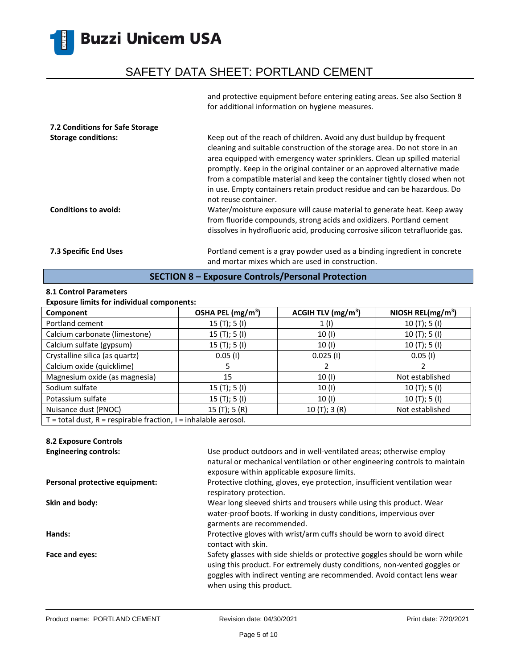## SAFETY DATA SHEET: PORTLAND CEMENT

and protective equipment before entering eating areas. See also Section 8 for additional information on hygiene measures.

| 7.2 Conditions for Safe Storage<br><b>Storage conditions:</b><br><b>Conditions to avoid:</b> | Keep out of the reach of children. Avoid any dust buildup by frequent<br>cleaning and suitable construction of the storage area. Do not store in an<br>area equipped with emergency water sprinklers. Clean up spilled material<br>promptly. Keep in the original container or an approved alternative made<br>from a compatible material and keep the container tightly closed when not<br>in use. Empty containers retain product residue and can be hazardous. Do<br>not reuse container.<br>Water/moisture exposure will cause material to generate heat. Keep away |
|----------------------------------------------------------------------------------------------|-------------------------------------------------------------------------------------------------------------------------------------------------------------------------------------------------------------------------------------------------------------------------------------------------------------------------------------------------------------------------------------------------------------------------------------------------------------------------------------------------------------------------------------------------------------------------|
|                                                                                              | from fluoride compounds, strong acids and oxidizers. Portland cement<br>dissolves in hydrofluoric acid, producing corrosive silicon tetrafluoride gas.                                                                                                                                                                                                                                                                                                                                                                                                                  |
| <b>7.3 Specific End Uses</b>                                                                 | Portland cement is a gray powder used as a binding ingredient in concrete<br>and mortar mixes which are used in construction.                                                                                                                                                                                                                                                                                                                                                                                                                                           |

### **SECTION 8 – Exposure Controls/Personal Protection**

### **8.1 Control Parameters**

### **Exposure limits for individual components:**

| Component                                                             | OSHA PEL (mg/m <sup>3</sup> ) | ACGIH TLV $(mg/m3)$ | NIOSH REL( $mg/m3$ ) |
|-----------------------------------------------------------------------|-------------------------------|---------------------|----------------------|
| Portland cement                                                       | 15(T); 5(I)                   | 1(1)                | 10(T); 5(I)          |
| Calcium carbonate (limestone)                                         | 15(T); 5(I)                   | 10 (I)              | 10(T); 5(I)          |
| Calcium sulfate (gypsum)                                              | 15(T); 5(I)                   | 10 (I)              | 10(T); 5(I)          |
| Crystalline silica (as quartz)                                        | $0.05$ (I)                    | $0.025$ (I)         | $0.05$ (I)           |
| Calcium oxide (quicklime)                                             |                               |                     |                      |
| Magnesium oxide (as magnesia)                                         | 15                            | 10(1)               | Not established      |
| Sodium sulfate                                                        | 15(T); 5(I)                   | 10(1)               | 10(T); 5(I)          |
| Potassium sulfate                                                     | 15(T); 5(I)                   | 10 (I)              | 10(T); 5(I)          |
| Nuisance dust (PNOC)                                                  | 15(T); 5(R)                   | 10(T); 3(R)         | Not established      |
| $T =$ total dust, $R =$ respirable fraction, $I =$ inhalable aerosol. |                               |                     |                      |

### **8.2 Exposure Controls**

| <b>Engineering controls:</b>   | Use product outdoors and in well-ventilated areas; otherwise employ<br>natural or mechanical ventilation or other engineering controls to maintain<br>exposure within applicable exposure limits.                                                              |
|--------------------------------|----------------------------------------------------------------------------------------------------------------------------------------------------------------------------------------------------------------------------------------------------------------|
| Personal protective equipment: | Protective clothing, gloves, eye protection, insufficient ventilation wear<br>respiratory protection.                                                                                                                                                          |
| Skin and body:                 | Wear long sleeved shirts and trousers while using this product. Wear<br>water-proof boots. If working in dusty conditions, impervious over<br>garments are recommended.                                                                                        |
| Hands:                         | Protective gloves with wrist/arm cuffs should be worn to avoid direct<br>contact with skin.                                                                                                                                                                    |
| Face and eyes:                 | Safety glasses with side shields or protective goggles should be worn while<br>using this product. For extremely dusty conditions, non-vented goggles or<br>goggles with indirect venting are recommended. Avoid contact lens wear<br>when using this product. |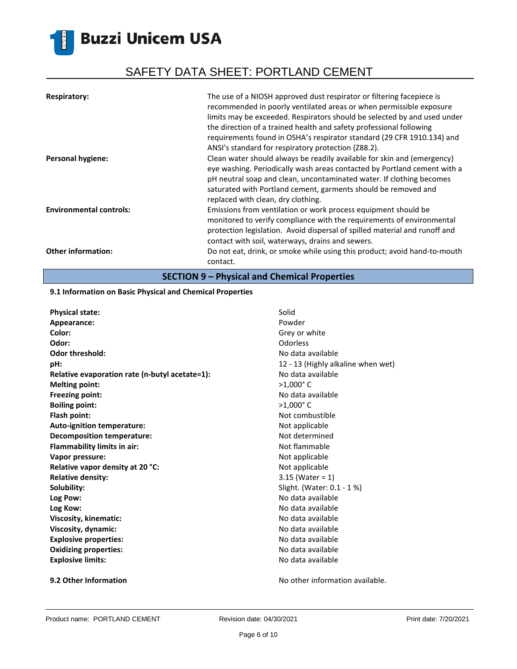# SAFETY DATA SHEET: PORTLAND CEMENT

| <b>Respiratory:</b>            | The use of a NIOSH approved dust respirator or filtering facepiece is<br>recommended in poorly ventilated areas or when permissible exposure<br>limits may be exceeded. Respirators should be selected by and used under<br>the direction of a trained health and safety professional following<br>requirements found in OSHA's respirator standard (29 CFR 1910.134) and<br>ANSI's standard for respiratory protection (Z88.2). |
|--------------------------------|----------------------------------------------------------------------------------------------------------------------------------------------------------------------------------------------------------------------------------------------------------------------------------------------------------------------------------------------------------------------------------------------------------------------------------|
| <b>Personal hygiene:</b>       | Clean water should always be readily available for skin and (emergency)<br>eye washing. Periodically wash areas contacted by Portland cement with a<br>pH neutral soap and clean, uncontaminated water. If clothing becomes<br>saturated with Portland cement, garments should be removed and<br>replaced with clean, dry clothing.                                                                                              |
| <b>Environmental controls:</b> | Emissions from ventilation or work process equipment should be<br>monitored to verify compliance with the requirements of environmental<br>protection legislation. Avoid dispersal of spilled material and runoff and<br>contact with soil, waterways, drains and sewers.                                                                                                                                                        |
| <b>Other information:</b>      | Do not eat, drink, or smoke while using this product; avoid hand-to-mouth<br>contact.                                                                                                                                                                                                                                                                                                                                            |

**SECTION 9 – Physical and Chemical Properties**

#### **9.1 Information on Basic Physical and Chemical Properties**

| <b>Physical state:</b>                         | Solid                              |
|------------------------------------------------|------------------------------------|
| Appearance:                                    | Powder                             |
| Color:                                         | Grey or white                      |
| Odor:                                          | Odorless                           |
| <b>Odor threshold:</b>                         | No data available                  |
| pH:                                            | 12 - 13 (Highly alkaline when wet) |
| Relative evaporation rate (n-butyl acetate=1): | No data available                  |
| <b>Melting point:</b>                          | $>1,000$ °C                        |
| <b>Freezing point:</b>                         | No data available                  |
| <b>Boiling point:</b>                          | $>1,000$ °C                        |
| Flash point:                                   | Not combustible                    |
| Auto-ignition temperature:                     | Not applicable                     |
| <b>Decomposition temperature:</b>              | Not determined                     |
| <b>Flammability limits in air:</b>             | Not flammable                      |
| Vapor pressure:                                | Not applicable                     |
| Relative vapor density at 20 °C:               | Not applicable                     |
| <b>Relative density:</b>                       | $3.15$ (Water = 1)                 |
| Solubility:                                    | Slight. (Water: 0.1 - 1 %)         |
| Log Pow:                                       | No data available                  |
| Log Kow:                                       | No data available                  |
| Viscosity, kinematic:                          | No data available                  |
| Viscosity, dynamic:                            | No data available                  |
| <b>Explosive properties:</b>                   | No data available                  |
| <b>Oxidizing properties:</b>                   | No data available                  |
| <b>Explosive limits:</b>                       | No data available                  |
|                                                |                                    |

**9.2 Other Information 19.2 Other Information No other information available.**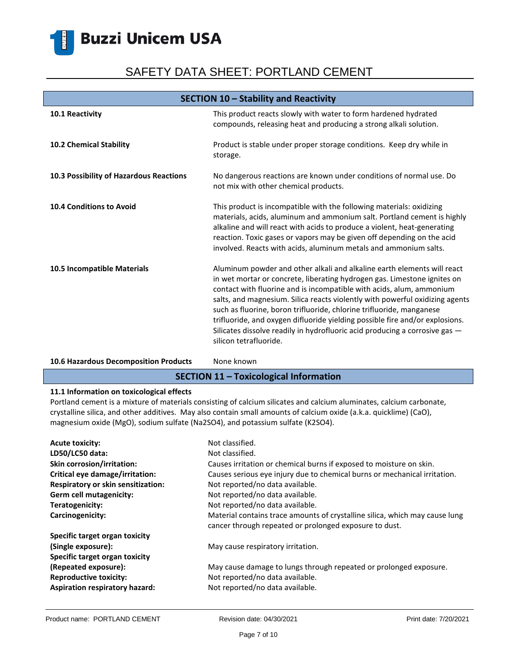# SAFETY DATA SHEET: PORTLAND CEMENT

| SECTION 10 - Stability and Reactivity   |                                                                                                                                                                                                                                                                                                                                                                                                                                                                                                                                                                              |  |
|-----------------------------------------|------------------------------------------------------------------------------------------------------------------------------------------------------------------------------------------------------------------------------------------------------------------------------------------------------------------------------------------------------------------------------------------------------------------------------------------------------------------------------------------------------------------------------------------------------------------------------|--|
| 10.1 Reactivity                         | This product reacts slowly with water to form hardened hydrated<br>compounds, releasing heat and producing a strong alkali solution.                                                                                                                                                                                                                                                                                                                                                                                                                                         |  |
| 10.2 Chemical Stability                 | Product is stable under proper storage conditions. Keep dry while in<br>storage.                                                                                                                                                                                                                                                                                                                                                                                                                                                                                             |  |
| 10.3 Possibility of Hazardous Reactions | No dangerous reactions are known under conditions of normal use. Do<br>not mix with other chemical products.                                                                                                                                                                                                                                                                                                                                                                                                                                                                 |  |
| <b>10.4 Conditions to Avoid</b>         | This product is incompatible with the following materials: oxidizing<br>materials, acids, aluminum and ammonium salt. Portland cement is highly<br>alkaline and will react with acids to produce a violent, heat-generating<br>reaction. Toxic gases or vapors may be given off depending on the acid<br>involved. Reacts with acids, aluminum metals and ammonium salts.                                                                                                                                                                                                    |  |
| 10.5 Incompatible Materials             | Aluminum powder and other alkali and alkaline earth elements will react<br>in wet mortar or concrete, liberating hydrogen gas. Limestone ignites on<br>contact with fluorine and is incompatible with acids, alum, ammonium<br>salts, and magnesium. Silica reacts violently with powerful oxidizing agents<br>such as fluorine, boron trifluoride, chlorine trifluoride, manganese<br>trifluoride, and oxygen difluoride yielding possible fire and/or explosions.<br>Silicates dissolve readily in hydrofluoric acid producing a corrosive gas -<br>silicon tetrafluoride. |  |

#### 10.6 Hazardous Decomposition Products None known

### **SECTION 11 – Toxicological Information**

### **11.1 Information on toxicological effects**

Portland cement is a mixture of materials consisting of calcium silicates and calcium aluminates, calcium carbonate, crystalline silica, and other additives. May also contain small amounts of calcium oxide (a.k.a. quicklime) (CaO), magnesium oxide (MgO), sodium sulfate (Na2SO4), and potassium sulfate (K2SO4).

| <b>Acute toxicity:</b><br>LD50/LC50 data: | Not classified.<br>Not classified.                                                                                                    |
|-------------------------------------------|---------------------------------------------------------------------------------------------------------------------------------------|
| <b>Skin corrosion/irritation:</b>         | Causes irritation or chemical burns if exposed to moisture on skin.                                                                   |
| Critical eye damage/irritation:           | Causes serious eye injury due to chemical burns or mechanical irritation.                                                             |
| Respiratory or skin sensitization:        | Not reported/no data available.                                                                                                       |
| Germ cell mutagenicity:                   | Not reported/no data available.                                                                                                       |
| Teratogenicity:                           | Not reported/no data available.                                                                                                       |
| Carcinogenicity:                          | Material contains trace amounts of crystalline silica, which may cause lung<br>cancer through repeated or prolonged exposure to dust. |
| Specific target organ toxicity            |                                                                                                                                       |
| (Single exposure):                        | May cause respiratory irritation.                                                                                                     |
| Specific target organ toxicity            |                                                                                                                                       |
| (Repeated exposure):                      | May cause damage to lungs through repeated or prolonged exposure.                                                                     |
| <b>Reproductive toxicity:</b>             | Not reported/no data available.                                                                                                       |
| Aspiration respiratory hazard:            | Not reported/no data available.                                                                                                       |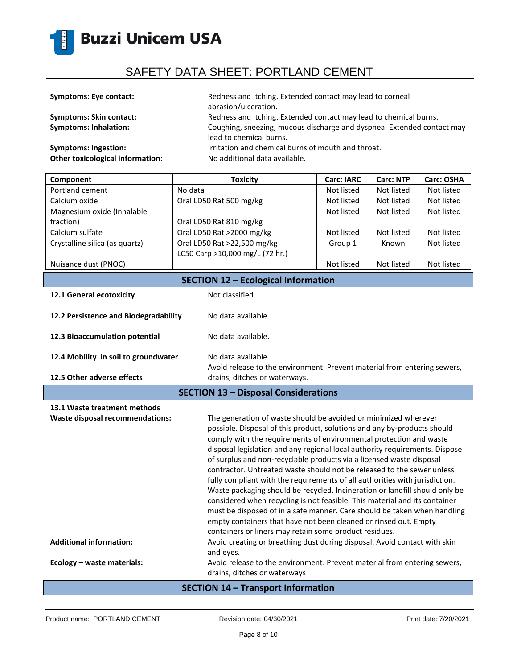

| <b>Symptoms: Eye contact:</b>           | Redness and itching. Extended contact may lead to corneal<br>abrasion/ulceration.                 |
|-----------------------------------------|---------------------------------------------------------------------------------------------------|
| <b>Symptoms: Skin contact:</b>          | Redness and itching. Extended contact may lead to chemical burns.                                 |
| <b>Symptoms: Inhalation:</b>            | Coughing, sneezing, mucous discharge and dyspnea. Extended contact may<br>lead to chemical burns. |
| Symptoms: Ingestion:                    | Irritation and chemical burns of mouth and throat.                                                |
| <b>Other toxicological information:</b> | No additional data available.                                                                     |

| Component                                  | <b>Toxicity</b>                 | <b>Carc: IARC</b> | <b>Carc: NTP</b> | Carc: OSHA |
|--------------------------------------------|---------------------------------|-------------------|------------------|------------|
| Portland cement                            | No data                         | Not listed        | Not listed       | Not listed |
| Calcium oxide                              | Oral LD50 Rat 500 mg/kg         | Not listed        | Not listed       | Not listed |
| Magnesium oxide (Inhalable                 |                                 | Not listed        | Not listed       | Not listed |
| fraction)                                  | Oral LD50 Rat 810 mg/kg         |                   |                  |            |
| Calcium sulfate                            | Oral LD50 Rat >2000 mg/kg       | Not listed        | Not listed       | Not listed |
| Crystalline silica (as quartz)             | Oral LD50 Rat >22,500 mg/kg     | Group 1           | Known            | Not listed |
|                                            | LC50 Carp >10,000 mg/L (72 hr.) |                   |                  |            |
| Nuisance dust (PNOC)                       |                                 | Not listed        | Not listed       | Not listed |
| <b>SECTION 12 - Ecological Information</b> |                                 |                   |                  |            |

|  | 12.1 General ecotoxicity |
|--|--------------------------|
|  |                          |

**Not classified.** 

| 12.2 Persistence and Biodegradability       | No data available.                                                                                                                                                                                                                                                                                                                                                                                                                                                                                                                                                                                                                                                                                                                                                                                                                             |
|---------------------------------------------|------------------------------------------------------------------------------------------------------------------------------------------------------------------------------------------------------------------------------------------------------------------------------------------------------------------------------------------------------------------------------------------------------------------------------------------------------------------------------------------------------------------------------------------------------------------------------------------------------------------------------------------------------------------------------------------------------------------------------------------------------------------------------------------------------------------------------------------------|
| 12.3 Bioaccumulation potential              | No data available.                                                                                                                                                                                                                                                                                                                                                                                                                                                                                                                                                                                                                                                                                                                                                                                                                             |
| 12.4 Mobility in soil to groundwater        | No data available.<br>Avoid release to the environment. Prevent material from entering sewers,                                                                                                                                                                                                                                                                                                                                                                                                                                                                                                                                                                                                                                                                                                                                                 |
| 12.5 Other adverse effects                  | drains, ditches or waterways.                                                                                                                                                                                                                                                                                                                                                                                                                                                                                                                                                                                                                                                                                                                                                                                                                  |
| <b>SECTION 13 - Disposal Considerations</b> |                                                                                                                                                                                                                                                                                                                                                                                                                                                                                                                                                                                                                                                                                                                                                                                                                                                |
| 13.1 Waste treatment methods                |                                                                                                                                                                                                                                                                                                                                                                                                                                                                                                                                                                                                                                                                                                                                                                                                                                                |
| <b>Waste disposal recommendations:</b>      | The generation of waste should be avoided or minimized wherever<br>possible. Disposal of this product, solutions and any by-products should<br>comply with the requirements of environmental protection and waste<br>disposal legislation and any regional local authority requirements. Dispose<br>of surplus and non-recyclable products via a licensed waste disposal<br>contractor. Untreated waste should not be released to the sewer unless<br>fully compliant with the requirements of all authorities with jurisdiction.<br>Waste packaging should be recycled. Incineration or landfill should only be<br>considered when recycling is not feasible. This material and its container<br>must be disposed of in a safe manner. Care should be taken when handling<br>empty containers that have not been cleaned or rinsed out. Empty |

#### Additional information: **Avoid creating or breathing dust during disposal**. Avoid contact with skin

**Ecology – waste materials:** Avoid release to the environment. Prevent material from entering sewers,

drains, ditches or waterways

and eyes.

containers or liners may retain some product residues.

### **SECTION 14 – Transport Information**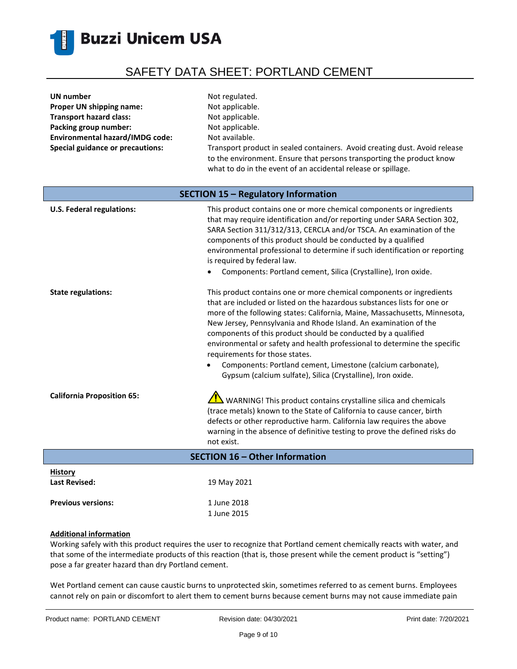

| UN number                               | Not regulated.                                                                                                                                                                                                       |
|-----------------------------------------|----------------------------------------------------------------------------------------------------------------------------------------------------------------------------------------------------------------------|
| Proper UN shipping name:                | Not applicable.                                                                                                                                                                                                      |
| <b>Transport hazard class:</b>          | Not applicable.                                                                                                                                                                                                      |
| Packing group number:                   | Not applicable.                                                                                                                                                                                                      |
| <b>Environmental hazard/IMDG code:</b>  | Not available.                                                                                                                                                                                                       |
| <b>Special guidance or precautions:</b> | Transport product in sealed containers. Avoid creating dust. Avoid release<br>to the environment. Ensure that persons transporting the product know<br>what to do in the event of an accidental release or spillage. |
| SECTION 15 - Regulatory Information     |                                                                                                                                                                                                                      |

| <b>U.S. Federal regulations:</b>       | This product contains one or more chemical components or ingredients<br>that may require identification and/or reporting under SARA Section 302,<br>SARA Section 311/312/313, CERCLA and/or TSCA. An examination of the<br>components of this product should be conducted by a qualified<br>environmental professional to determine if such identification or reporting<br>is required by federal law.<br>Components: Portland cement, Silica (Crystalline), Iron oxide.                                                                                                                                                      |
|----------------------------------------|-------------------------------------------------------------------------------------------------------------------------------------------------------------------------------------------------------------------------------------------------------------------------------------------------------------------------------------------------------------------------------------------------------------------------------------------------------------------------------------------------------------------------------------------------------------------------------------------------------------------------------|
| <b>State regulations:</b>              | This product contains one or more chemical components or ingredients<br>that are included or listed on the hazardous substances lists for one or<br>more of the following states: California, Maine, Massachusetts, Minnesota,<br>New Jersey, Pennsylvania and Rhode Island. An examination of the<br>components of this product should be conducted by a qualified<br>environmental or safety and health professional to determine the specific<br>requirements for those states.<br>Components: Portland cement, Limestone (calcium carbonate),<br>$\bullet$<br>Gypsum (calcium sulfate), Silica (Crystalline), Iron oxide. |
| <b>California Proposition 65:</b>      | WARNING! This product contains crystalline silica and chemicals<br>(trace metals) known to the State of California to cause cancer, birth<br>defects or other reproductive harm. California law requires the above<br>warning in the absence of definitive testing to prove the defined risks do<br>not exist.                                                                                                                                                                                                                                                                                                                |
|                                        | <b>SECTION 16 - Other Information</b>                                                                                                                                                                                                                                                                                                                                                                                                                                                                                                                                                                                         |
| <b>History</b><br><b>Last Revised:</b> | 19 May 2021                                                                                                                                                                                                                                                                                                                                                                                                                                                                                                                                                                                                                   |

### **Additional information**

Previous versions: 1 June 2018

Working safely with this product requires the user to recognize that Portland cement chemically reacts with water, and that some of the intermediate products of this reaction (that is, those present while the cement product is "setting") pose a far greater hazard than dry Portland cement.

1 June 2015

Wet Portland cement can cause caustic burns to unprotected skin, sometimes referred to as cement burns. Employees cannot rely on pain or discomfort to alert them to cement burns because cement burns may not cause immediate pain